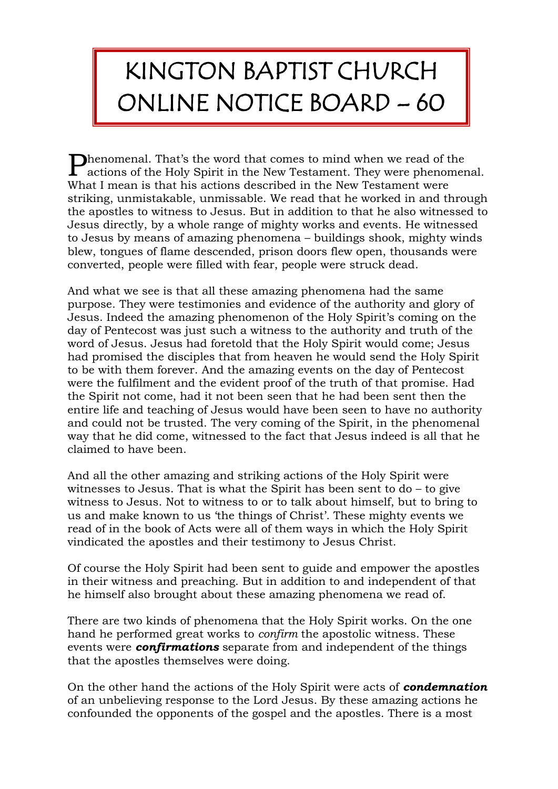## KINGTON BAPTIST CHURCH ONLINE NOTICE BOARD – 60

henomenal. That's the word that comes to mind when we read of the **P**henomenal. That's the word that comes to mind when we read of the actions of the Holy Spirit in the New Testament. They were phenomenal. What I mean is that his actions described in the New Testament were striking, unmistakable, unmissable. We read that he worked in and through the apostles to witness to Jesus. But in addition to that he also witnessed to Jesus directly, by a whole range of mighty works and events. He witnessed to Jesus by means of amazing phenomena – buildings shook, mighty winds blew, tongues of flame descended, prison doors flew open, thousands were converted, people were filled with fear, people were struck dead.

And what we see is that all these amazing phenomena had the same purpose. They were testimonies and evidence of the authority and glory of Jesus. Indeed the amazing phenomenon of the Holy Spirit's coming on the day of Pentecost was just such a witness to the authority and truth of the word of Jesus. Jesus had foretold that the Holy Spirit would come; Jesus had promised the disciples that from heaven he would send the Holy Spirit to be with them forever. And the amazing events on the day of Pentecost were the fulfilment and the evident proof of the truth of that promise. Had the Spirit not come, had it not been seen that he had been sent then the entire life and teaching of Jesus would have been seen to have no authority and could not be trusted. The very coming of the Spirit, in the phenomenal way that he did come, witnessed to the fact that Jesus indeed is all that he claimed to have been.

And all the other amazing and striking actions of the Holy Spirit were witnesses to Jesus. That is what the Spirit has been sent to  $d\sigma$  – to give witness to Jesus. Not to witness to or to talk about himself, but to bring to us and make known to us 'the things of Christ'. These mighty events we read of in the book of Acts were all of them ways in which the Holy Spirit vindicated the apostles and their testimony to Jesus Christ.

Of course the Holy Spirit had been sent to guide and empower the apostles in their witness and preaching. But in addition to and independent of that he himself also brought about these amazing phenomena we read of.

There are two kinds of phenomena that the Holy Spirit works. On the one hand he performed great works to *confirm* the apostolic witness. These events were *confirmations* separate from and independent of the things that the apostles themselves were doing.

On the other hand the actions of the Holy Spirit were acts of *condemnation* of an unbelieving response to the Lord Jesus. By these amazing actions he confounded the opponents of the gospel and the apostles. There is a most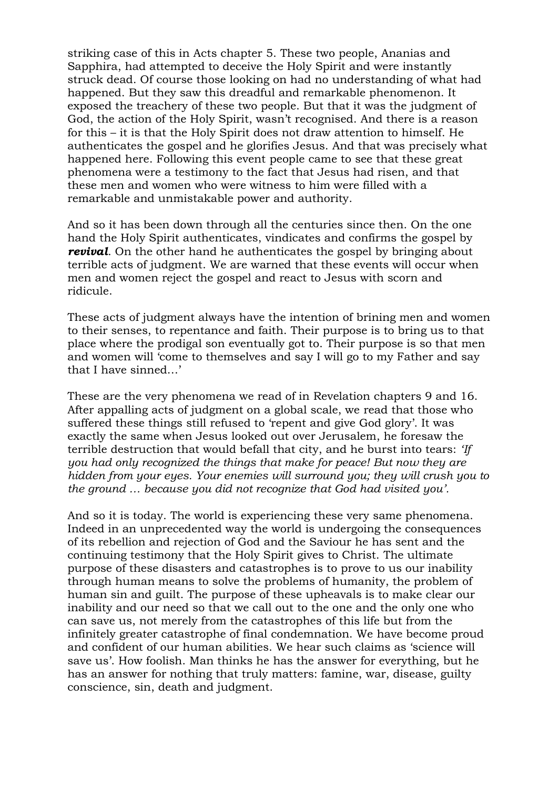striking case of this in Acts chapter 5. These two people, Ananias and Sapphira, had attempted to deceive the Holy Spirit and were instantly struck dead. Of course those looking on had no understanding of what had happened. But they saw this dreadful and remarkable phenomenon. It exposed the treachery of these two people. But that it was the judgment of God, the action of the Holy Spirit, wasn't recognised. And there is a reason for this – it is that the Holy Spirit does not draw attention to himself. He authenticates the gospel and he glorifies Jesus. And that was precisely what happened here. Following this event people came to see that these great phenomena were a testimony to the fact that Jesus had risen, and that these men and women who were witness to him were filled with a remarkable and unmistakable power and authority.

And so it has been down through all the centuries since then. On the one hand the Holy Spirit authenticates, vindicates and confirms the gospel by *revival.* On the other hand he authenticates the gospel by bringing about terrible acts of judgment. We are warned that these events will occur when men and women reject the gospel and react to Jesus with scorn and ridicule.

These acts of judgment always have the intention of brining men and women to their senses, to repentance and faith. Their purpose is to bring us to that place where the prodigal son eventually got to. Their purpose is so that men and women will 'come to themselves and say I will go to my Father and say that I have sinned…'

These are the very phenomena we read of in Revelation chapters 9 and 16. After appalling acts of judgment on a global scale, we read that those who suffered these things still refused to 'repent and give God glory'. It was exactly the same when Jesus looked out over Jerusalem, he foresaw the terrible destruction that would befall that city, and he burst into tears: *'If you had only recognized the things that make for peace! But now they are hidden from your eyes. Your enemies will surround you; they will crush you to the ground … because you did not recognize that God had visited you'.*

And so it is today. The world is experiencing these very same phenomena. Indeed in an unprecedented way the world is undergoing the consequences of its rebellion and rejection of God and the Saviour he has sent and the continuing testimony that the Holy Spirit gives to Christ. The ultimate purpose of these disasters and catastrophes is to prove to us our inability through human means to solve the problems of humanity, the problem of human sin and guilt. The purpose of these upheavals is to make clear our inability and our need so that we call out to the one and the only one who can save us, not merely from the catastrophes of this life but from the infinitely greater catastrophe of final condemnation. We have become proud and confident of our human abilities. We hear such claims as 'science will save us'. How foolish. Man thinks he has the answer for everything, but he has an answer for nothing that truly matters: famine, war, disease, guilty conscience, sin, death and judgment.